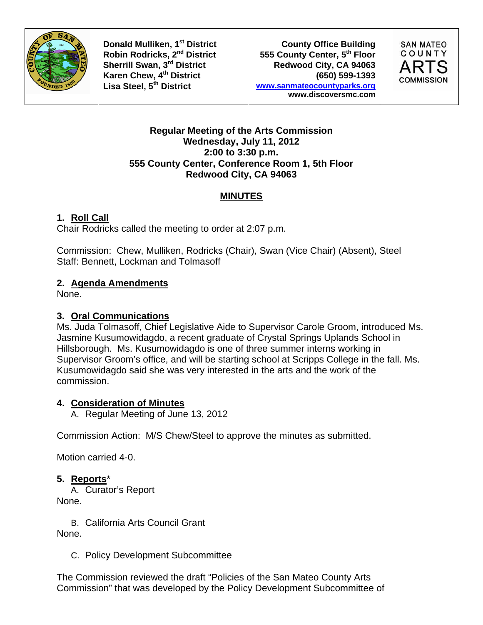

**Donald Mulliken, 1<sup>st</sup> District County Office Building** Robin Rodricks, 2<sup>nd</sup> District 555 County Center, 5<sup>th</sup> Floor<br>
Sherrill Swan, 3<sup>rd</sup> District **600 Redwood City, CA 94063** Redwood City, CA 94063 **Karen Chew, 4th District (650) 599-1393 Lisa Steel, 5th District www.sanmateocountyparks.org www.discoversmc.com** 



#### **Regular Meeting of the Arts Commission Wednesday, July 11, 2012 2:00 to 3:30 p.m. 555 County Center, Conference Room 1, 5th Floor Redwood City, CA 94063**

### **MINUTES**

# **1. Roll Call**

Chair Rodricks called the meeting to order at 2:07 p.m.

Commission: Chew, Mulliken, Rodricks (Chair), Swan (Vice Chair) (Absent), Steel Staff: Bennett, Lockman and Tolmasoff

### **2. Agenda Amendments**

None.

# **3. Oral Communications**

Ms. Juda Tolmasoff, Chief Legislative Aide to Supervisor Carole Groom, introduced Ms. Jasmine Kusumowidagdo, a recent graduate of Crystal Springs Uplands School in Hillsborough. Ms. Kusumowidagdo is one of three summer interns working in Supervisor Groom's office, and will be starting school at Scripps College in the fall. Ms. Kusumowidagdo said she was very interested in the arts and the work of the commission.

# **4. Consideration of Minutes**

A. Regular Meeting of June 13, 2012

Commission Action: M/S Chew/Steel to approve the minutes as submitted.

Motion carried 4-0.

#### **5. Reports**\*

A. Curator's Report None.

B. California Arts Council Grant None.

C. Policy Development Subcommittee

The Commission reviewed the draft "Policies of the San Mateo County Arts Commission" that was developed by the Policy Development Subcommittee of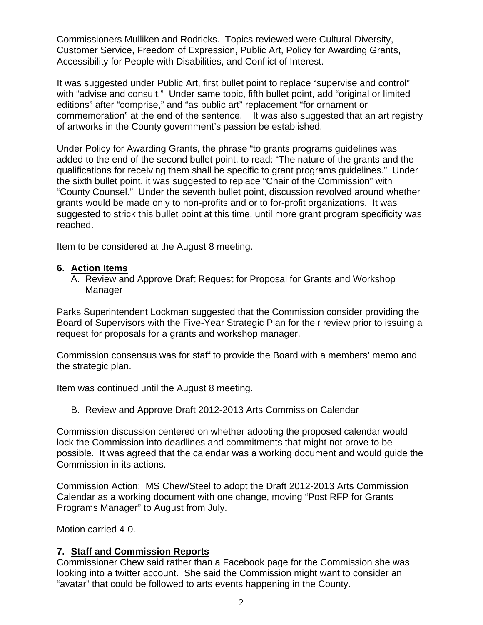Commissioners Mulliken and Rodricks. Topics reviewed were Cultural Diversity, Customer Service, Freedom of Expression, Public Art, Policy for Awarding Grants, Accessibility for People with Disabilities, and Conflict of Interest.

It was suggested under Public Art, first bullet point to replace "supervise and control" with "advise and consult." Under same topic, fifth bullet point, add "original or limited editions" after "comprise," and "as public art" replacement "for ornament or commemoration" at the end of the sentence. It was also suggested that an art registry of artworks in the County government's passion be established.

Under Policy for Awarding Grants, the phrase "to grants programs guidelines was added to the end of the second bullet point, to read: "The nature of the grants and the qualifications for receiving them shall be specific to grant programs guidelines." Under the sixth bullet point, it was suggested to replace "Chair of the Commission" with "County Counsel." Under the seventh bullet point, discussion revolved around whether grants would be made only to non-profits and or to for-profit organizations. It was suggested to strick this bullet point at this time, until more grant program specificity was reached.

Item to be considered at the August 8 meeting.

#### **6. Action Items**

A. Review and Approve Draft Request for Proposal for Grants and Workshop Manager

Parks Superintendent Lockman suggested that the Commission consider providing the Board of Supervisors with the Five-Year Strategic Plan for their review prior to issuing a request for proposals for a grants and workshop manager.

Commission consensus was for staff to provide the Board with a members' memo and the strategic plan.

Item was continued until the August 8 meeting.

B. Review and Approve Draft 2012-2013 Arts Commission Calendar

Commission discussion centered on whether adopting the proposed calendar would lock the Commission into deadlines and commitments that might not prove to be possible. It was agreed that the calendar was a working document and would guide the Commission in its actions.

Commission Action: MS Chew/Steel to adopt the Draft 2012-2013 Arts Commission Calendar as a working document with one change, moving "Post RFP for Grants Programs Manager" to August from July.

Motion carried 4-0.

#### **7. Staff and Commission Reports**

Commissioner Chew said rather than a Facebook page for the Commission she was looking into a twitter account. She said the Commission might want to consider an "avatar" that could be followed to arts events happening in the County.